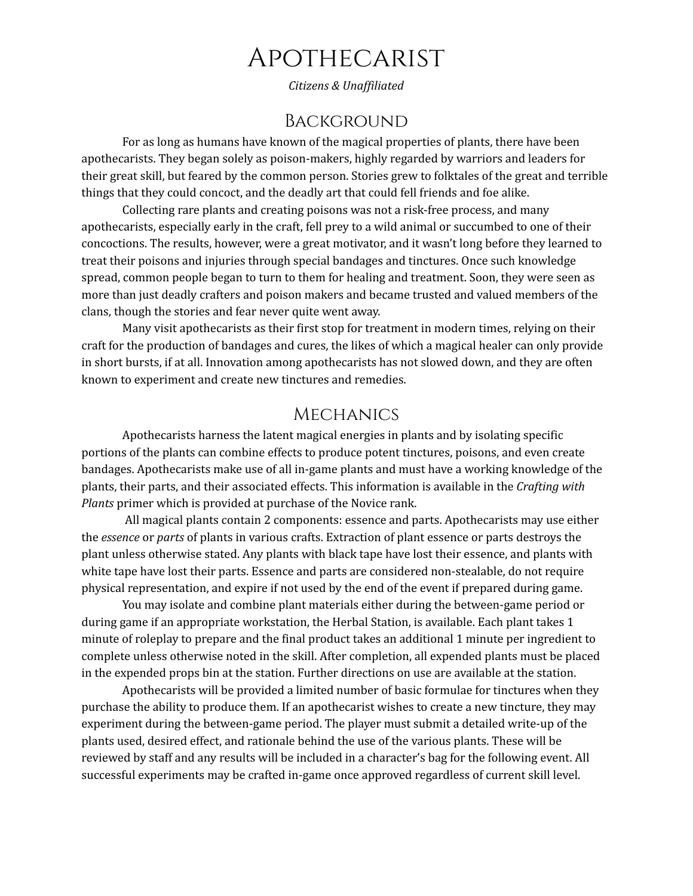# Apothecarist

*Citizens & Unaf iliated*

### Background

For as long as humans have known of the magical properties of plants, there have been apothecarists. They began solely as poison-makers, highly regarded by warriors and leaders for their great skill, but feared by the common person. Stories grew to folktales of the great and terrible things that they could concoct, and the deadly art that could fell friends and foe alike.

Collecting rare plants and creating poisons was not a risk-free process, and many apothecarists, especially early in the craft, fell prey to a wild animal or succumbed to one of their concoctions. The results, however, were a great motivator, and it wasn't long before they learned to treat their poisons and injuries through special bandages and tinctures. Once such knowledge spread, common people began to turn to them for healing and treatment. Soon, they were seen as more than just deadly crafters and poison makers and became trusted and valued members of the clans, though the stories and fear never quite went away.

Many visit apothecarists as their first stop for treatment in modern times, relying on their craft for the production of bandages and cures, the likes of which a magical healer can only provide in short bursts, if at all. Innovation among apothecarists has not slowed down, and they are often known to experiment and create new tinctures and remedies.

#### **MECHANICS**

Apothecarists harness the latent magical energies in plants and by isolating specific portions of the plants can combine effects to produce potent tinctures, poisons, and even create bandages. Apothecarists make use of all in-game plants and must have a working knowledge of the plants, their parts, and their associated effects. This information is available in the *Crafting with Plants* primer which is provided at purchase of the Novice rank.

All magical plants contain 2 components: essence and parts. Apothecarists may use either the *essence* or *parts* of plants in various crafts. Extraction of plant essence or parts destroys the plant unless otherwise stated. Any plants with black tape have lost their essence, and plants with white tape have lost their parts. Essence and parts are considered non-stealable, do not require physical representation, and expire if not used by the end of the event if prepared during game.

You may isolate and combine plant materials either during the between-game period or during game if an appropriate workstation, the Herbal Station, is available. Each plant takes 1 minute of roleplay to prepare and the final product takes an additional 1 minute per ingredient to complete unless otherwise noted in the skill. After completion, all expended plants must be placed in the expended props bin at the station. Further directions on use are available at the station.

Apothecarists will be provided a limited number of basic formulae for tinctures when they purchase the ability to produce them. If an apothecarist wishes to create a new tincture, they may experiment during the between-game period. The player must submit a detailed write-up of the plants used, desired effect, and rationale behind the use of the various plants. These will be reviewed by staff and any results will be included in a character's bag for the following event. All successful experiments may be crafted in-game once approved regardless of current skill level.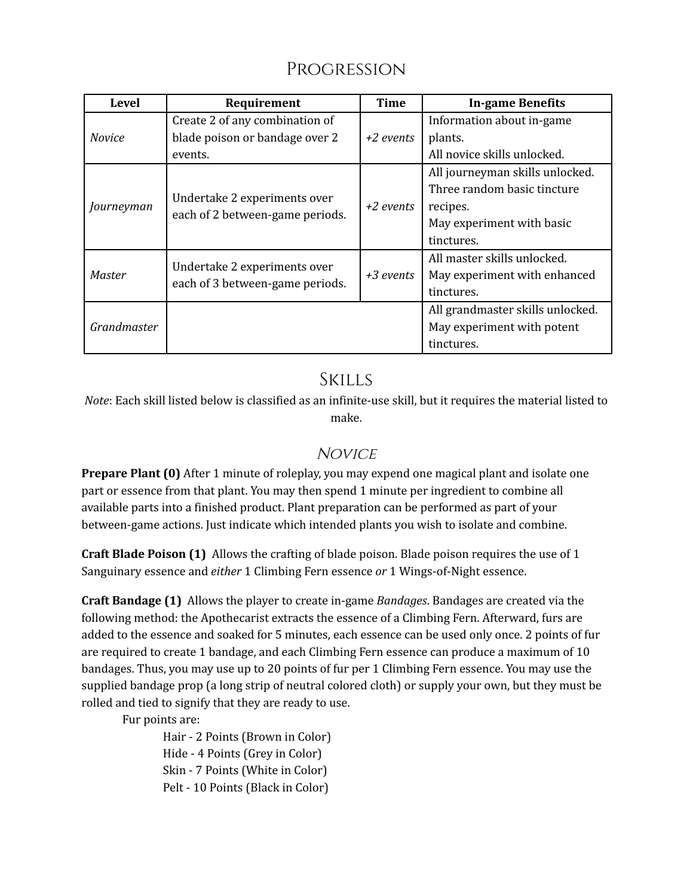# Progression

| <b>Level</b>  | Requirement                                                     | <b>Time</b> | <b>In-game Benefits</b>          |
|---------------|-----------------------------------------------------------------|-------------|----------------------------------|
| <b>Novice</b> | Create 2 of any combination of                                  | $+2$ events | Information about in-game        |
|               | blade poison or bandage over 2                                  |             | plants.                          |
|               | events.                                                         |             | All novice skills unlocked.      |
| Journeyman    | Undertake 2 experiments over<br>each of 2 between-game periods. | $+2$ events | All journeyman skills unlocked.  |
|               |                                                                 |             | Three random basic tincture      |
|               |                                                                 |             | recipes.                         |
|               |                                                                 |             | May experiment with basic        |
|               |                                                                 |             | tinctures.                       |
| Master        | Undertake 2 experiments over<br>each of 3 between-game periods. | +3 events   | All master skills unlocked.      |
|               |                                                                 |             | May experiment with enhanced     |
|               |                                                                 |             | tinctures.                       |
| Grandmaster   |                                                                 |             | All grandmaster skills unlocked. |
|               |                                                                 |             | May experiment with potent       |
|               |                                                                 |             | tinctures.                       |

## **SKILLS**

*Note*: Each skill listed below is classified as an infinite-use skill, but it requires the material listed to make.

## **NOVICE**

**Prepare Plant (0)** After 1 minute of roleplay, you may expend one magical plant and isolate one part or essence from that plant. You may then spend 1 minute per ingredient to combine all available parts into a finished product. Plant preparation can be performed as part of your between-game actions. Just indicate which intended plants you wish to isolate and combine.

**Craft Blade Poison (1)** Allows the crafting of blade poison. Blade poison requires the use of 1 Sanguinary essence and *either* 1 Climbing Fern essence *or* 1 Wings-of-Night essence.

**Craft Bandage (1)** Allows the player to create in-game *Bandages*. Bandages are created via the following method: the Apothecarist extracts the essence of a Climbing Fern. Afterward, furs are added to the essence and soaked for 5 minutes, each essence can be used only once. 2 points of fur are required to create 1 bandage, and each Climbing Fern essence can produce a maximum of 10 bandages. Thus, you may use up to 20 points of fur per 1 Climbing Fern essence. You may use the supplied bandage prop (a long strip of neutral colored cloth) or supply your own, but they must be rolled and tied to signify that they are ready to use.

Fur points are:

Hair - 2 Points (Brown in Color) Hide - 4 Points (Grey in Color) Skin - 7 Points (White in Color) Pelt - 10 Points (Black in Color)